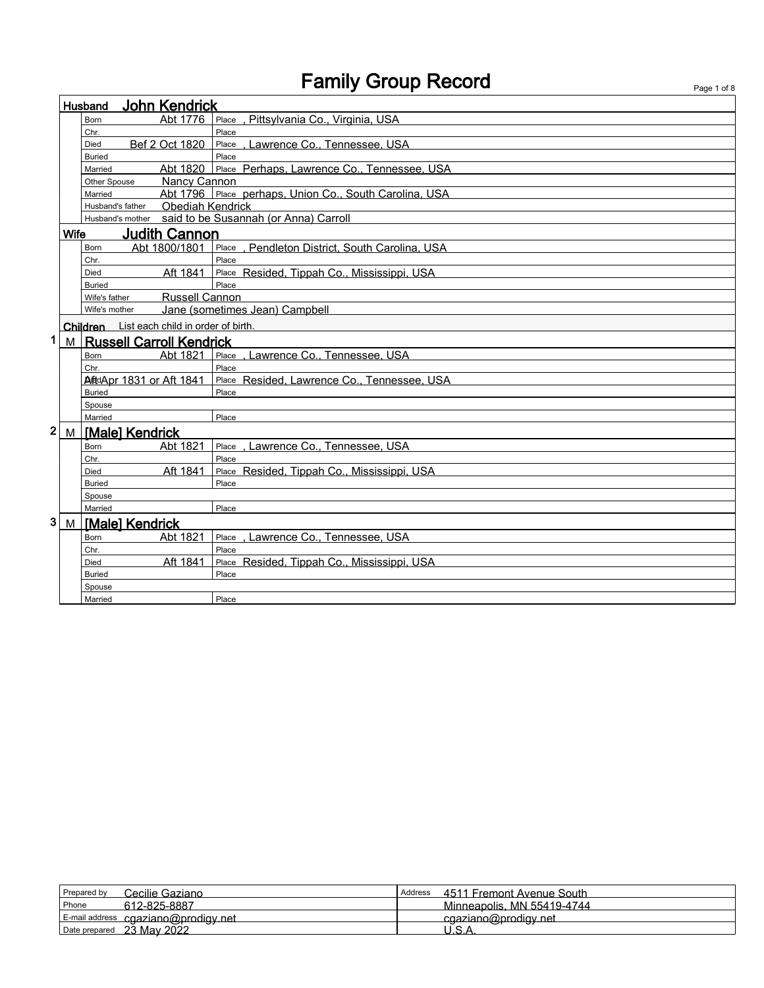|                         |             | <b>John Kendrick</b><br>Husband             |                                                        |
|-------------------------|-------------|---------------------------------------------|--------------------------------------------------------|
|                         |             | Abt 1776<br><b>Born</b>                     | Pittsylvania Co., Virginia, USA<br>Place               |
|                         |             | Chr.                                        | Place                                                  |
|                         |             | Bef 2 Oct 1820<br>Died                      | Place . Lawrence Co., Tennessee. USA                   |
|                         |             | <b>Buried</b>                               | Place                                                  |
|                         |             | Married                                     | Abt 1820 Place Perhaps, Lawrence Co., Tennessee, USA   |
|                         |             | <b>Nancy Cannon</b><br>Other Spouse         |                                                        |
|                         |             | Married                                     | Abt 1796 Place perhaps, Union Co., South Carolina, USA |
|                         |             | Obediah Kendrick<br>Husband's father        |                                                        |
|                         |             |                                             | Husband's mother said to be Susannah (or Anna) Carroll |
|                         | <b>Wife</b> | <b>Judith Cannon</b>                        |                                                        |
|                         |             | Abt 1800/1801<br>Born                       | Place, Pendleton District, South Carolina, USA         |
|                         |             | Chr.                                        | Place                                                  |
|                         |             | Aft 1841<br><b>Died</b>                     | Place Resided, Tippah Co., Mississippi, USA            |
|                         |             | <b>Buried</b>                               | Place                                                  |
|                         |             | Russell Cannon<br>Wife's father             |                                                        |
|                         |             | Wife's mother                               | Jane (sometimes Jean) Campbell                         |
|                         |             | Children List each child in order of birth. |                                                        |
| $\mathbf 1$             |             | M Russell Carroll Kendrick                  |                                                        |
|                         |             | Abt 1821<br><b>Born</b>                     | Place . Lawrence Co., Tennessee. USA                   |
|                         |             | Chr.                                        | Place                                                  |
|                         |             | <b>AitdApr 1831 or Aft 1841</b>             | Place Resided, Lawrence Co., Tennessee, USA            |
|                         |             | <b>Buried</b>                               | Place                                                  |
|                         |             | Spouse                                      |                                                        |
|                         |             | Married                                     | Place                                                  |
| $\overline{\mathbf{2}}$ | M           | [Male] Kendrick                             |                                                        |
|                         |             | Abt 1821<br><b>Born</b>                     | Lawrence Co., Tennessee, USA<br>Place                  |
|                         |             | Chr.                                        | Place                                                  |
|                         |             | Aft 1841<br>Died                            | Place Resided, Tippah Co., Mississippi, USA            |
|                         |             | <b>Buried</b>                               | Place                                                  |
|                         |             | Spouse                                      |                                                        |
|                         |             | Married                                     | Place                                                  |
| 3                       |             | M Male] Kendrick                            |                                                        |
|                         |             | Abt 1821<br><b>Born</b>                     | Place . Lawrence Co., Tennessee. USA                   |
|                         |             | Chr.                                        | Place                                                  |
|                         |             | Aft 1841<br>Died                            | Place Resided, Tippah Co., Mississippi, USA            |
|                         |             | <b>Buried</b>                               | Place                                                  |
|                         |             | Spouse                                      |                                                        |
|                         |             | Married                                     | Place                                                  |

| Cecilie Gaziano<br>Prepared by      | 4511 Fremont Avenue South<br>Address |
|-------------------------------------|--------------------------------------|
| 612-825-8887<br>Phone               | Minneapolis, MN 55419-4744           |
| E-mail address cgaziano@prodigy.net | cgaziano@prodigy.net                 |
| Date prepared 23 May 2022           |                                      |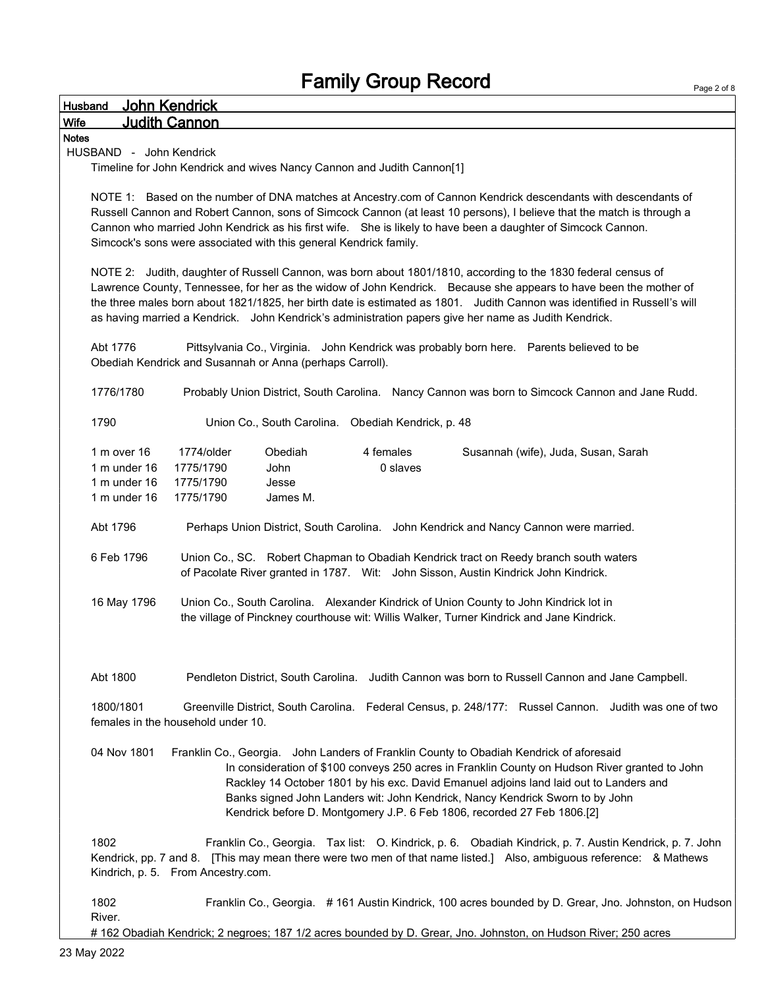| <b>Husband</b> | John Kendrick                                                                                                                                                                             |
|----------------|-------------------------------------------------------------------------------------------------------------------------------------------------------------------------------------------|
| Wife           | <b>Judith Cannon</b>                                                                                                                                                                      |
| <b>Notes</b>   |                                                                                                                                                                                           |
|                | HUSBAND - John Kendrick                                                                                                                                                                   |
|                | Timeline for John Kendrick and wives Nancy Cannon and Judith Cannon[1]                                                                                                                    |
|                |                                                                                                                                                                                           |
|                | NOTE 1: Based on the number of DNA matches at Ancestry.com of Cannon Kendrick descendants with descendants of                                                                             |
|                | Russell Cannon and Robert Cannon, sons of Simcock Cannon (at least 10 persons), I believe that the match is through a                                                                     |
|                | Cannon who married John Kendrick as his first wife. She is likely to have been a daughter of Simcock Cannon.                                                                              |
|                | Simcock's sons were associated with this general Kendrick family.                                                                                                                         |
|                | NOTE 2: Judith, daughter of Russell Cannon, was born about 1801/1810, according to the 1830 federal census of                                                                             |
|                | Lawrence County, Tennessee, for her as the widow of John Kendrick. Because she appears to have been the mother of                                                                         |
|                | the three males born about 1821/1825, her birth date is estimated as 1801. Judith Cannon was identified in Russell's will                                                                 |
|                | as having married a Kendrick. John Kendrick's administration papers give her name as Judith Kendrick.                                                                                     |
|                |                                                                                                                                                                                           |
| Abt 1776       | Pittsylvania Co., Virginia. John Kendrick was probably born here. Parents believed to be                                                                                                  |
|                | Obediah Kendrick and Susannah or Anna (perhaps Carroll).                                                                                                                                  |
|                |                                                                                                                                                                                           |
| 1776/1780      | Probably Union District, South Carolina. Nancy Cannon was born to Simcock Cannon and Jane Rudd.                                                                                           |
|                |                                                                                                                                                                                           |
| 1790           | Union Co., South Carolina. Obediah Kendrick, p. 48                                                                                                                                        |
|                | 1774/older<br>Obediah<br>4 females<br>1 m over 16<br>Susannah (wife), Juda, Susan, Sarah                                                                                                  |
|                | 0 slaves<br>1 m under 16<br>1775/1790<br><b>John</b>                                                                                                                                      |
|                | 1 m under 16<br>1775/1790<br>Jesse                                                                                                                                                        |
|                | 1 m under 16<br>1775/1790<br>James M.                                                                                                                                                     |
|                |                                                                                                                                                                                           |
| Abt 1796       | Perhaps Union District, South Carolina. John Kendrick and Nancy Cannon were married.                                                                                                      |
|                |                                                                                                                                                                                           |
|                | 6 Feb 1796<br>Union Co., SC. Robert Chapman to Obadiah Kendrick tract on Reedy branch south waters<br>of Pacolate River granted in 1787. Wit: John Sisson, Austin Kindrick John Kindrick. |
|                |                                                                                                                                                                                           |
|                | 16 May 1796<br>Union Co., South Carolina. Alexander Kindrick of Union County to John Kindrick lot in                                                                                      |
|                | the village of Pinckney courthouse wit: Willis Walker, Turner Kindrick and Jane Kindrick.                                                                                                 |
|                |                                                                                                                                                                                           |
|                |                                                                                                                                                                                           |
|                |                                                                                                                                                                                           |
| Abt 1800       | Pendleton District, South Carolina. Judith Cannon was born to Russell Cannon and Jane Campbell.                                                                                           |
|                |                                                                                                                                                                                           |
| 1800/1801      | Greenville District, South Carolina. Federal Census, p. 248/177: Russel Cannon. Judith was one of two                                                                                     |
|                | females in the household under 10.                                                                                                                                                        |
|                |                                                                                                                                                                                           |
|                | 04 Nov 1801<br>Franklin Co., Georgia. John Landers of Franklin County to Obadiah Kendrick of aforesaid                                                                                    |
|                | In consideration of \$100 conveys 250 acres in Franklin County on Hudson River granted to John<br>Rackley 14 October 1801 by his exc. David Emanuel adjoins land laid out to Landers and  |
|                | Banks signed John Landers wit: John Kendrick, Nancy Kendrick Sworn to by John                                                                                                             |
|                | Kendrick before D. Montgomery J.P. 6 Feb 1806, recorded 27 Feb 1806.[2]                                                                                                                   |
|                |                                                                                                                                                                                           |
| 1802           | Franklin Co., Georgia. Tax list: O. Kindrick, p. 6. Obadiah Kindrick, p. 7. Austin Kendrick, p. 7. John                                                                                   |
|                | Kendrick, pp. 7 and 8. [This may mean there were two men of that name listed.] Also, ambiguous reference: & Mathews                                                                       |
|                | Kindrich, p. 5. From Ancestry.com.                                                                                                                                                        |
|                |                                                                                                                                                                                           |
| 1802           | Franklin Co., Georgia. #161 Austin Kindrick, 100 acres bounded by D. Grear, Jno. Johnston, on Hudson                                                                                      |
| River.         |                                                                                                                                                                                           |

# 162 Obadiah Kendrick; 2 negroes; 187 1/2 acres bounded by D. Grear, Jno. Johnston, on Hudson River; 250 acres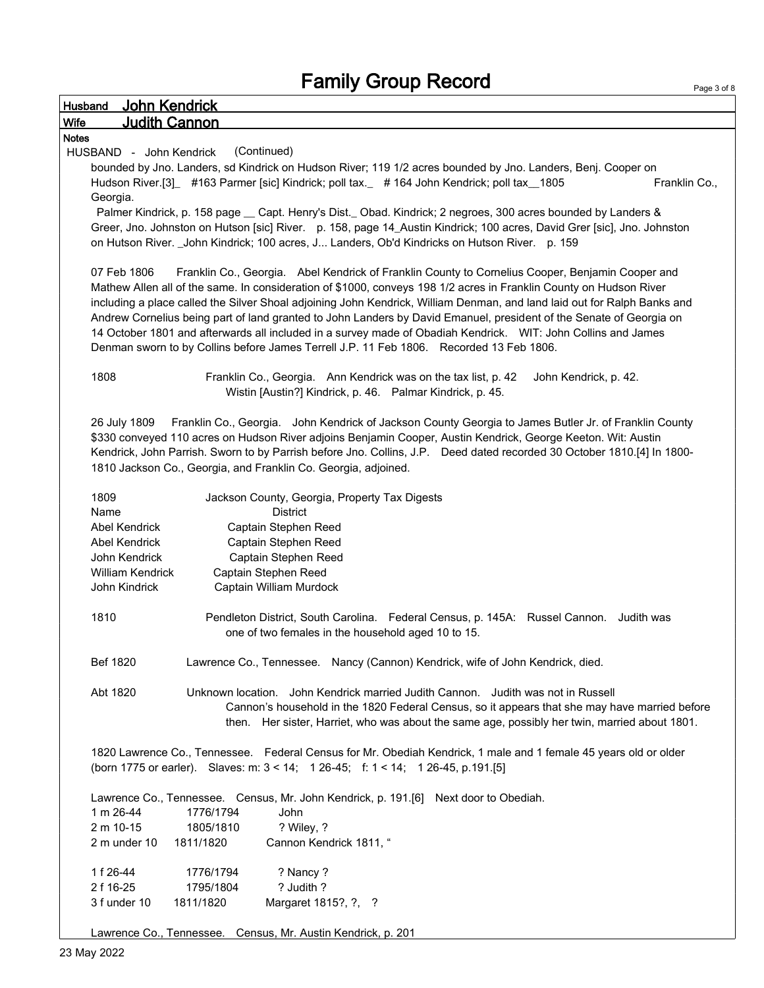Page 3 of 8

| <b>John Kendrick</b><br>Husband                                                                                          |
|--------------------------------------------------------------------------------------------------------------------------|
| <b>Judith Cannon</b><br><b>Wife</b>                                                                                      |
| <b>Notes</b>                                                                                                             |
| (Continued)<br>HUSBAND - John Kendrick                                                                                   |
| bounded by Jno. Landers, sd Kindrick on Hudson River; 119 1/2 acres bounded by Jno. Landers, Benj. Cooper on             |
| Hudson River.[3] #163 Parmer [sic] Kindrick; poll tax. #164 John Kendrick; poll tax _1805<br>Franklin Co.,               |
| Georgia.                                                                                                                 |
| Palmer Kindrick, p. 158 page _ Capt. Henry's Dist. Obad. Kindrick; 2 negroes, 300 acres bounded by Landers &             |
| Greer, Jno. Johnston on Hutson [sic] River. p. 158, page 14_Austin Kindrick; 100 acres, David Grer [sic], Jno. Johnston  |
| on Hutson River. _John Kindrick; 100 acres, J Landers, Ob'd Kindricks on Hutson River. p. 159                            |
|                                                                                                                          |
| Franklin Co., Georgia. Abel Kendrick of Franklin County to Cornelius Cooper, Benjamin Cooper and<br>07 Feb 1806          |
|                                                                                                                          |
| Mathew Allen all of the same. In consideration of \$1000, conveys 198 1/2 acres in Franklin County on Hudson River       |
| including a place called the Silver Shoal adjoining John Kendrick, William Denman, and land laid out for Ralph Banks and |
| Andrew Cornelius being part of land granted to John Landers by David Emanuel, president of the Senate of Georgia on      |
| 14 October 1801 and afterwards all included in a survey made of Obadiah Kendrick.  WIT: John Collins and James           |
| Denman sworn to by Collins before James Terrell J.P. 11 Feb 1806. Recorded 13 Feb 1806.                                  |
|                                                                                                                          |
| 1808<br>Franklin Co., Georgia. Ann Kendrick was on the tax list, p. 42<br>John Kendrick, p. 42.                          |
| Wistin [Austin?] Kindrick, p. 46. Palmar Kindrick, p. 45.                                                                |
|                                                                                                                          |
| Franklin Co., Georgia. John Kendrick of Jackson County Georgia to James Butler Jr. of Franklin County<br>26 July 1809    |
| \$330 conveyed 110 acres on Hudson River adjoins Benjamin Cooper, Austin Kendrick, George Keeton. Wit: Austin            |
| Kendrick, John Parrish. Sworn to by Parrish before Jno. Collins, J.P. Deed dated recorded 30 October 1810.[4] In 1800-   |
| 1810 Jackson Co., Georgia, and Franklin Co. Georgia, adjoined.                                                           |
|                                                                                                                          |
| 1809<br>Jackson County, Georgia, Property Tax Digests                                                                    |
| Name<br><b>District</b>                                                                                                  |
| <b>Abel Kendrick</b><br>Captain Stephen Reed                                                                             |
| <b>Abel Kendrick</b><br>Captain Stephen Reed                                                                             |
|                                                                                                                          |
| Captain Stephen Reed<br>John Kendrick                                                                                    |
| William Kendrick<br>Captain Stephen Reed                                                                                 |
| John Kindrick<br>Captain William Murdock                                                                                 |
|                                                                                                                          |
| 1810<br>Pendleton District, South Carolina. Federal Census, p. 145A: Russel Cannon. Judith was                           |
| one of two females in the household aged 10 to 15.                                                                       |
|                                                                                                                          |
| Bef 1820<br>Lawrence Co., Tennessee. Nancy (Cannon) Kendrick, wife of John Kendrick, died.                               |
|                                                                                                                          |
| Unknown location. John Kendrick married Judith Cannon. Judith was not in Russell<br>Abt 1820                             |
| Cannon's household in the 1820 Federal Census, so it appears that she may have married before                            |
| then. Her sister, Harriet, who was about the same age, possibly her twin, married about 1801.                            |
|                                                                                                                          |
| 1820 Lawrence Co., Tennessee. Federal Census for Mr. Obediah Kendrick, 1 male and 1 female 45 years old or older         |
| (born 1775 or earler). Slaves: m: 3 < 14; 1 26-45; f: 1 < 14; 1 26-45, p.191.[5]                                         |
|                                                                                                                          |
| Lawrence Co., Tennessee. Census, Mr. John Kendrick, p. 191.[6] Next door to Obediah.                                     |
| 1 m 26-44<br>1776/1794<br>John                                                                                           |
| 2 m 10-15<br>1805/1810<br>? Wiley, ?                                                                                     |
| 2 m under 10<br>1811/1820<br>Cannon Kendrick 1811, "                                                                     |
|                                                                                                                          |
| 1 f 26-44<br>? Nancy ?<br>1776/1794                                                                                      |
| 2 f 16-25<br>? Judith ?<br>1795/1804                                                                                     |
| 3 f under 10<br>1811/1820<br>Margaret 1815?, ?, ?                                                                        |
|                                                                                                                          |
| Lawrence Co., Tennessee. Census, Mr. Austin Kendrick, p. 201                                                             |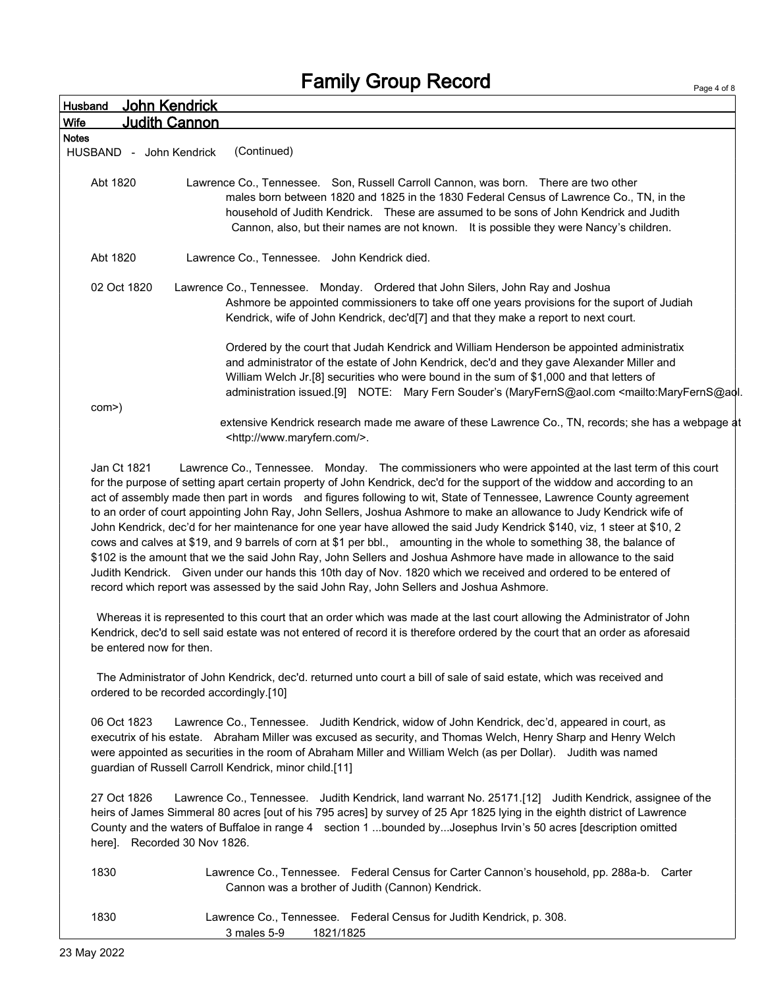| John Kendrick<br>Husband            |                                                                                                                                                                                                                                                                                                                                                                                                                                                                                                                                                                                                                                                                                                                                                                                   |
|-------------------------------------|-----------------------------------------------------------------------------------------------------------------------------------------------------------------------------------------------------------------------------------------------------------------------------------------------------------------------------------------------------------------------------------------------------------------------------------------------------------------------------------------------------------------------------------------------------------------------------------------------------------------------------------------------------------------------------------------------------------------------------------------------------------------------------------|
| <b>Judith Cannon</b><br><b>Wife</b> |                                                                                                                                                                                                                                                                                                                                                                                                                                                                                                                                                                                                                                                                                                                                                                                   |
| <b>Notes</b>                        |                                                                                                                                                                                                                                                                                                                                                                                                                                                                                                                                                                                                                                                                                                                                                                                   |
| HUSBAND - John Kendrick             | (Continued)                                                                                                                                                                                                                                                                                                                                                                                                                                                                                                                                                                                                                                                                                                                                                                       |
| Abt 1820                            | Lawrence Co., Tennessee. Son, Russell Carroll Cannon, was born. There are two other<br>males born between 1820 and 1825 in the 1830 Federal Census of Lawrence Co., TN, in the<br>household of Judith Kendrick. These are assumed to be sons of John Kendrick and Judith<br>Cannon, also, but their names are not known. It is possible they were Nancy's children.                                                                                                                                                                                                                                                                                                                                                                                                               |
| Abt 1820                            | Lawrence Co., Tennessee. John Kendrick died.                                                                                                                                                                                                                                                                                                                                                                                                                                                                                                                                                                                                                                                                                                                                      |
| 02 Oct 1820                         | Lawrence Co., Tennessee. Monday. Ordered that John Silers, John Ray and Joshua<br>Ashmore be appointed commissioners to take off one years provisions for the suport of Judiah<br>Kendrick, wife of John Kendrick, dec'd[7] and that they make a report to next court.                                                                                                                                                                                                                                                                                                                                                                                                                                                                                                            |
| com>)                               | Ordered by the court that Judah Kendrick and William Henderson be appointed administratix<br>and administrator of the estate of John Kendrick, dec'd and they gave Alexander Miller and<br>William Welch Jr.[8] securities who were bound in the sum of \$1,000 and that letters of<br>administration issued.[9] NOTE: Mary Fern Souder's (MaryFernS@aol.com <mailto:maryferns@aol.<br>extensive Kendrick research made me aware of these Lawrence Co., TN, records; she has a webpage at</mailto:maryferns@aol.<br>                                                                                                                                                                                                                                                              |
| Jan Ct 1821                         | <http: www.maryfern.com=""></http:> .<br>Lawrence Co., Tennessee. Monday. The commissioners who were appointed at the last term of this court<br>for the purpose of setting apart certain property of John Kendrick, dec'd for the support of the widdow and according to an<br>act of assembly made then part in words and figures following to wit, State of Tennessee, Lawrence County agreement<br>to an order of court appointing John Ray, John Sellers, Joshua Ashmore to make an allowance to Judy Kendrick wife of<br>John Kendrick, dec'd for her maintenance for one year have allowed the said Judy Kendrick \$140, viz, 1 steer at \$10, 2<br>cows and calves at \$19, and 9 barrels of corn at \$1 per bbl., amounting in the whole to something 38, the balance of |

\$102 is the amount that we the said John Ray, John Sellers and Joshua Ashmore have made in allowance to the said Judith Kendrick. Given under our hands this 10th day of Nov. 1820 which we received and ordered to be entered of record which report was assessed by the said John Ray, John Sellers and Joshua Ashmore.

Whereas it is represented to this court that an order which was made at the last court allowing the Administrator of John Kendrick, dec'd to sell said estate was not entered of record it is therefore ordered by the court that an order as aforesaid be entered now for then.

The Administrator of John Kendrick, dec'd. returned unto court a bill of sale of said estate, which was received and ordered to be recorded accordingly.[10]

06 Oct 1823 Lawrence Co., Tennessee. Judith Kendrick, widow of John Kendrick, dec'd, appeared in court, as executrix of his estate. Abraham Miller was excused as security, and Thomas Welch, Henry Sharp and Henry Welch were appointed as securities in the room of Abraham Miller and William Welch (as per Dollar). Judith was named guardian of Russell Carroll Kendrick, minor child.[11]

27 Oct 1826 Lawrence Co., Tennessee. Judith Kendrick, land warrant No. 25171.[12] Judith Kendrick, assignee of the heirs of James Simmeral 80 acres [out of his 795 acres] by survey of 25 Apr 1825 lying in the eighth district of Lawrence County and the waters of Buffaloe in range 4 section 1 ...bounded by...Josephus Irvin's 50 acres [description omitted here]. Recorded 30 Nov 1826.

1830 Lawrence Co., Tennessee. Federal Census for Carter Cannon's household, pp. 288a-b. Carter Cannon was a brother of Judith (Cannon) Kendrick.

| 1830 |             |           | Lawrence Co., Tennessee. Federal Census for Judith Kendrick, p. 308. |
|------|-------------|-----------|----------------------------------------------------------------------|
|      | 3 males 5-9 | 1821/1825 |                                                                      |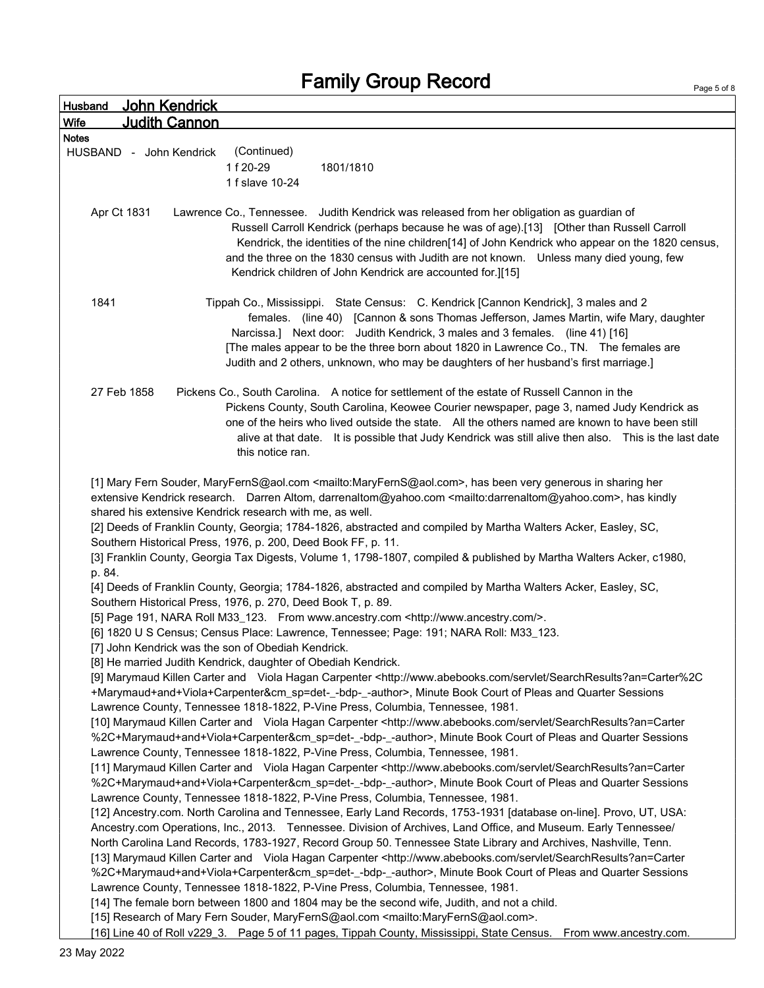| <b>Husband</b> |                         | John Kendrick        |                                                                                                                                                                                                                                                                                                                                                                                                                                                                                                                                                                                                                                                                                                                                                                                                                                                                                                                                                                                                                                                                                                                                                                                                                                                                                                                                                                                                                                                                                                                                                                                                                                                                                                                                                                                                                                                                                                                                                                                                                                                                                                                                                                                                                                                                                                                                                                                                                                                                                                                                                                                                                                                                                                                                                                                                                                                                                                                                 |
|----------------|-------------------------|----------------------|---------------------------------------------------------------------------------------------------------------------------------------------------------------------------------------------------------------------------------------------------------------------------------------------------------------------------------------------------------------------------------------------------------------------------------------------------------------------------------------------------------------------------------------------------------------------------------------------------------------------------------------------------------------------------------------------------------------------------------------------------------------------------------------------------------------------------------------------------------------------------------------------------------------------------------------------------------------------------------------------------------------------------------------------------------------------------------------------------------------------------------------------------------------------------------------------------------------------------------------------------------------------------------------------------------------------------------------------------------------------------------------------------------------------------------------------------------------------------------------------------------------------------------------------------------------------------------------------------------------------------------------------------------------------------------------------------------------------------------------------------------------------------------------------------------------------------------------------------------------------------------------------------------------------------------------------------------------------------------------------------------------------------------------------------------------------------------------------------------------------------------------------------------------------------------------------------------------------------------------------------------------------------------------------------------------------------------------------------------------------------------------------------------------------------------------------------------------------------------------------------------------------------------------------------------------------------------------------------------------------------------------------------------------------------------------------------------------------------------------------------------------------------------------------------------------------------------------------------------------------------------------------------------------------------------|
| <b>Wife</b>    |                         | <u>Judith Cannon</u> |                                                                                                                                                                                                                                                                                                                                                                                                                                                                                                                                                                                                                                                                                                                                                                                                                                                                                                                                                                                                                                                                                                                                                                                                                                                                                                                                                                                                                                                                                                                                                                                                                                                                                                                                                                                                                                                                                                                                                                                                                                                                                                                                                                                                                                                                                                                                                                                                                                                                                                                                                                                                                                                                                                                                                                                                                                                                                                                                 |
| <b>Notes</b>   |                         |                      |                                                                                                                                                                                                                                                                                                                                                                                                                                                                                                                                                                                                                                                                                                                                                                                                                                                                                                                                                                                                                                                                                                                                                                                                                                                                                                                                                                                                                                                                                                                                                                                                                                                                                                                                                                                                                                                                                                                                                                                                                                                                                                                                                                                                                                                                                                                                                                                                                                                                                                                                                                                                                                                                                                                                                                                                                                                                                                                                 |
|                | HUSBAND - John Kendrick |                      | (Continued)<br>1f 20-29<br>1801/1810<br>1 f slave 10-24                                                                                                                                                                                                                                                                                                                                                                                                                                                                                                                                                                                                                                                                                                                                                                                                                                                                                                                                                                                                                                                                                                                                                                                                                                                                                                                                                                                                                                                                                                                                                                                                                                                                                                                                                                                                                                                                                                                                                                                                                                                                                                                                                                                                                                                                                                                                                                                                                                                                                                                                                                                                                                                                                                                                                                                                                                                                         |
|                | Apr Ct 1831             |                      | Lawrence Co., Tennessee. Judith Kendrick was released from her obligation as guardian of<br>Russell Carroll Kendrick (perhaps because he was of age).[13] [Other than Russell Carroll<br>Kendrick, the identities of the nine children[14] of John Kendrick who appear on the 1820 census,<br>and the three on the 1830 census with Judith are not known.  Unless many died young, few<br>Kendrick children of John Kendrick are accounted for.][15]                                                                                                                                                                                                                                                                                                                                                                                                                                                                                                                                                                                                                                                                                                                                                                                                                                                                                                                                                                                                                                                                                                                                                                                                                                                                                                                                                                                                                                                                                                                                                                                                                                                                                                                                                                                                                                                                                                                                                                                                                                                                                                                                                                                                                                                                                                                                                                                                                                                                            |
| 1841           |                         |                      | Tippah Co., Mississippi. State Census: C. Kendrick [Cannon Kendrick], 3 males and 2<br>females. (line 40) [Cannon & sons Thomas Jefferson, James Martin, wife Mary, daughter<br>Narcissa.] Next door: Judith Kendrick, 3 males and 3 females. (line 41) [16]<br>[The males appear to be the three born about 1820 in Lawrence Co., TN. The females are<br>Judith and 2 others, unknown, who may be daughters of her husband's first marriage.]                                                                                                                                                                                                                                                                                                                                                                                                                                                                                                                                                                                                                                                                                                                                                                                                                                                                                                                                                                                                                                                                                                                                                                                                                                                                                                                                                                                                                                                                                                                                                                                                                                                                                                                                                                                                                                                                                                                                                                                                                                                                                                                                                                                                                                                                                                                                                                                                                                                                                  |
|                | 27 Feb 1858             |                      | Pickens Co., South Carolina. A notice for settlement of the estate of Russell Cannon in the<br>Pickens County, South Carolina, Keowee Courier newspaper, page 3, named Judy Kendrick as<br>one of the heirs who lived outside the state. All the others named are known to have been still<br>alive at that date. It is possible that Judy Kendrick was still alive then also. This is the last date<br>this notice ran.                                                                                                                                                                                                                                                                                                                                                                                                                                                                                                                                                                                                                                                                                                                                                                                                                                                                                                                                                                                                                                                                                                                                                                                                                                                                                                                                                                                                                                                                                                                                                                                                                                                                                                                                                                                                                                                                                                                                                                                                                                                                                                                                                                                                                                                                                                                                                                                                                                                                                                        |
| p. 84.         |                         |                      | [1] Mary Fern Souder, MaryFernS@aol.com <mailto:maryferns@aol.com>, has been very generous in sharing her<br/>extensive Kendrick research. Darren Altom, darrenaltom@yahoo.com <mailto:darrenaltom@yahoo.com>, has kindly<br/>shared his extensive Kendrick research with me, as well.<br/>[2] Deeds of Franklin County, Georgia; 1784-1826, abstracted and compiled by Martha Walters Acker, Easley, SC,<br/>Southern Historical Press, 1976, p. 200, Deed Book FF, p. 11.<br/>[3] Franklin County, Georgia Tax Digests, Volume 1, 1798-1807, compiled &amp; published by Martha Walters Acker, c1980,<br/>[4] Deeds of Franklin County, Georgia; 1784-1826, abstracted and compiled by Martha Walters Acker, Easley, SC,<br/>Southern Historical Press, 1976, p. 270, Deed Book T, p. 89.<br/>[5] Page 191, NARA Roll M33_123. From www.ancestry.com <http: www.ancestry.com=""></http:>.<br/>[6] 1820 U S Census; Census Place: Lawrence, Tennessee; Page: 191; NARA Roll: M33_123.<br/>[7] John Kendrick was the son of Obediah Kendrick.<br/>[8] He married Judith Kendrick, daughter of Obediah Kendrick.<br/>[9] Marymaud Killen Carter and Viola Hagan Carpenter <http: searchresults?an="Carter%2C&lt;br" servlet="" www.abebooks.com="">+Marymaud+and+Viola+Carpenter&amp;cm_sp=det-_-bdp-_-author&gt;, Minute Book Court of Pleas and Quarter Sessions<br/>Lawrence County, Tennessee 1818-1822, P-Vine Press, Columbia, Tennessee, 1981.<br/>[10] Marymaud Killen Carter and Viola Hagan Carpenter <http: searchresults?an="Carter&lt;br" servlet="" www.abebooks.com="">%2C+Marymaud+and+Viola+Carpenter&amp;cm_sp=det-_-bdp-_-author&gt;, Minute Book Court of Pleas and Quarter Sessions<br/>Lawrence County, Tennessee 1818-1822, P-Vine Press, Columbia, Tennessee, 1981.<br/>[11] Marymaud Killen Carter and Viola Hagan Carpenter <http: searchresults?an="Carter&lt;br" servlet="" www.abebooks.com="">%2C+Marymaud+and+Viola+Carpenter&amp;cm_sp=det-_-bdp-_-author&gt;, Minute Book Court of Pleas and Quarter Sessions<br/>Lawrence County, Tennessee 1818-1822, P-Vine Press, Columbia, Tennessee, 1981.<br/>[12] Ancestry.com. North Carolina and Tennessee, Early Land Records, 1753-1931 [database on-line]. Provo, UT, USA:<br/>Ancestry.com Operations, Inc., 2013. Tennessee. Division of Archives, Land Office, and Museum. Early Tennessee/<br/>North Carolina Land Records, 1783-1927, Record Group 50. Tennessee State Library and Archives, Nashville, Tenn.<br/>[13] Marymaud Killen Carter and Viola Hagan Carpenter <http: searchresults?an="Carter&lt;br" servlet="" www.abebooks.com="">%2C+Marymaud+and+Viola+Carpenter&amp;cm_sp=det-_-bdp-_-author&gt;, Minute Book Court of Pleas and Quarter Sessions<br/>Lawrence County, Tennessee 1818-1822, P-Vine Press, Columbia, Tennessee, 1981.</http:></http:></http:></http:></mailto:darrenaltom@yahoo.com></mailto:maryferns@aol.com> |
|                |                         |                      | [14] The female born between 1800 and 1804 may be the second wife, Judith, and not a child.<br>[15] Research of Mary Fern Souder, MaryFernS@aol.com <mailto:maryferns@aol.com>.<br/>[16] Line 40 of Roll v229_3. Page 5 of 11 pages, Tippah County, Mississippi, State Census.<br/>From www.ancestry.com.</mailto:maryferns@aol.com>                                                                                                                                                                                                                                                                                                                                                                                                                                                                                                                                                                                                                                                                                                                                                                                                                                                                                                                                                                                                                                                                                                                                                                                                                                                                                                                                                                                                                                                                                                                                                                                                                                                                                                                                                                                                                                                                                                                                                                                                                                                                                                                                                                                                                                                                                                                                                                                                                                                                                                                                                                                            |

Page 5 of 8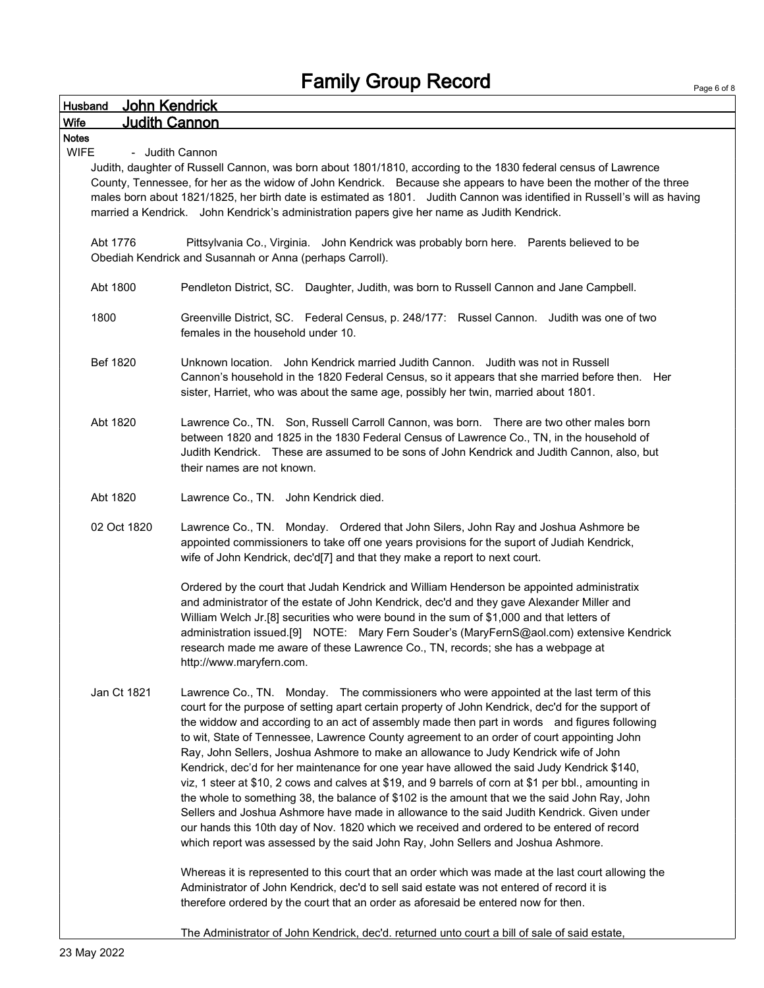| John Kendrick<br>Husband                                                                                                                                                                                                                                                                                                                                                                                                                                                                           |                                                                                                                                                                                                                                                                                                                                                                                                                                                                                                                                                                                                                                                                                                                                                                                                                                                                                                                                                                                                                                                                             |  |  |  |  |
|----------------------------------------------------------------------------------------------------------------------------------------------------------------------------------------------------------------------------------------------------------------------------------------------------------------------------------------------------------------------------------------------------------------------------------------------------------------------------------------------------|-----------------------------------------------------------------------------------------------------------------------------------------------------------------------------------------------------------------------------------------------------------------------------------------------------------------------------------------------------------------------------------------------------------------------------------------------------------------------------------------------------------------------------------------------------------------------------------------------------------------------------------------------------------------------------------------------------------------------------------------------------------------------------------------------------------------------------------------------------------------------------------------------------------------------------------------------------------------------------------------------------------------------------------------------------------------------------|--|--|--|--|
| <b>Judith Cannon</b><br>Wife                                                                                                                                                                                                                                                                                                                                                                                                                                                                       |                                                                                                                                                                                                                                                                                                                                                                                                                                                                                                                                                                                                                                                                                                                                                                                                                                                                                                                                                                                                                                                                             |  |  |  |  |
| <b>Notes</b>                                                                                                                                                                                                                                                                                                                                                                                                                                                                                       |                                                                                                                                                                                                                                                                                                                                                                                                                                                                                                                                                                                                                                                                                                                                                                                                                                                                                                                                                                                                                                                                             |  |  |  |  |
| <b>WIFE</b><br>- Judith Cannon<br>Judith, daughter of Russell Cannon, was born about 1801/1810, according to the 1830 federal census of Lawrence<br>County, Tennessee, for her as the widow of John Kendrick. Because she appears to have been the mother of the three<br>males born about 1821/1825, her birth date is estimated as 1801. Judith Cannon was identified in Russell's will as having<br>married a Kendrick. John Kendrick's administration papers give her name as Judith Kendrick. |                                                                                                                                                                                                                                                                                                                                                                                                                                                                                                                                                                                                                                                                                                                                                                                                                                                                                                                                                                                                                                                                             |  |  |  |  |
| Abt 1776                                                                                                                                                                                                                                                                                                                                                                                                                                                                                           | Pittsylvania Co., Virginia. John Kendrick was probably born here. Parents believed to be<br>Obediah Kendrick and Susannah or Anna (perhaps Carroll).                                                                                                                                                                                                                                                                                                                                                                                                                                                                                                                                                                                                                                                                                                                                                                                                                                                                                                                        |  |  |  |  |
| Abt 1800                                                                                                                                                                                                                                                                                                                                                                                                                                                                                           | Pendleton District, SC. Daughter, Judith, was born to Russell Cannon and Jane Campbell.                                                                                                                                                                                                                                                                                                                                                                                                                                                                                                                                                                                                                                                                                                                                                                                                                                                                                                                                                                                     |  |  |  |  |
| 1800                                                                                                                                                                                                                                                                                                                                                                                                                                                                                               | Greenville District, SC. Federal Census, p. 248/177: Russel Cannon. Judith was one of two<br>females in the household under 10.                                                                                                                                                                                                                                                                                                                                                                                                                                                                                                                                                                                                                                                                                                                                                                                                                                                                                                                                             |  |  |  |  |
| Bef 1820                                                                                                                                                                                                                                                                                                                                                                                                                                                                                           | Unknown location. John Kendrick married Judith Cannon. Judith was not in Russell<br>Cannon's household in the 1820 Federal Census, so it appears that she married before then. Her<br>sister, Harriet, who was about the same age, possibly her twin, married about 1801.                                                                                                                                                                                                                                                                                                                                                                                                                                                                                                                                                                                                                                                                                                                                                                                                   |  |  |  |  |
| Abt 1820                                                                                                                                                                                                                                                                                                                                                                                                                                                                                           | Lawrence Co., TN. Son, Russell Carroll Cannon, was born. There are two other males born<br>between 1820 and 1825 in the 1830 Federal Census of Lawrence Co., TN, in the household of<br>Judith Kendrick. These are assumed to be sons of John Kendrick and Judith Cannon, also, but<br>their names are not known.                                                                                                                                                                                                                                                                                                                                                                                                                                                                                                                                                                                                                                                                                                                                                           |  |  |  |  |
| Abt 1820                                                                                                                                                                                                                                                                                                                                                                                                                                                                                           | Lawrence Co., TN. John Kendrick died.                                                                                                                                                                                                                                                                                                                                                                                                                                                                                                                                                                                                                                                                                                                                                                                                                                                                                                                                                                                                                                       |  |  |  |  |
| 02 Oct 1820                                                                                                                                                                                                                                                                                                                                                                                                                                                                                        | Lawrence Co., TN. Monday. Ordered that John Silers, John Ray and Joshua Ashmore be<br>appointed commissioners to take off one years provisions for the suport of Judiah Kendrick,<br>wife of John Kendrick, dec'd[7] and that they make a report to next court.                                                                                                                                                                                                                                                                                                                                                                                                                                                                                                                                                                                                                                                                                                                                                                                                             |  |  |  |  |
|                                                                                                                                                                                                                                                                                                                                                                                                                                                                                                    | Ordered by the court that Judah Kendrick and William Henderson be appointed administratix<br>and administrator of the estate of John Kendrick, dec'd and they gave Alexander Miller and<br>William Welch Jr.[8] securities who were bound in the sum of \$1,000 and that letters of<br>administration issued.[9] NOTE: Mary Fern Souder's (MaryFernS@aol.com) extensive Kendrick<br>research made me aware of these Lawrence Co., TN, records; she has a webpage at<br>http://www.maryfern.com.                                                                                                                                                                                                                                                                                                                                                                                                                                                                                                                                                                             |  |  |  |  |
| Jan Ct 1821                                                                                                                                                                                                                                                                                                                                                                                                                                                                                        | Lawrence Co., TN. Monday. The commissioners who were appointed at the last term of this<br>court for the purpose of setting apart certain property of John Kendrick, dec'd for the support of<br>the widdow and according to an act of assembly made then part in words and figures following<br>to wit, State of Tennessee, Lawrence County agreement to an order of court appointing John<br>Ray, John Sellers, Joshua Ashmore to make an allowance to Judy Kendrick wife of John<br>Kendrick, dec'd for her maintenance for one year have allowed the said Judy Kendrick \$140,<br>viz, 1 steer at \$10, 2 cows and calves at \$19, and 9 barrels of corn at \$1 per bbl., amounting in<br>the whole to something 38, the balance of \$102 is the amount that we the said John Ray, John<br>Sellers and Joshua Ashmore have made in allowance to the said Judith Kendrick. Given under<br>our hands this 10th day of Nov. 1820 which we received and ordered to be entered of record<br>which report was assessed by the said John Ray, John Sellers and Joshua Ashmore. |  |  |  |  |
|                                                                                                                                                                                                                                                                                                                                                                                                                                                                                                    | Whereas it is represented to this court that an order which was made at the last court allowing the<br>Administrator of John Kendrick, dec'd to sell said estate was not entered of record it is<br>therefore ordered by the court that an order as aforesaid be entered now for then.                                                                                                                                                                                                                                                                                                                                                                                                                                                                                                                                                                                                                                                                                                                                                                                      |  |  |  |  |
|                                                                                                                                                                                                                                                                                                                                                                                                                                                                                                    | The Administrator of John Kendrick, dec'd. returned unto court a bill of sale of said estate,                                                                                                                                                                                                                                                                                                                                                                                                                                                                                                                                                                                                                                                                                                                                                                                                                                                                                                                                                                               |  |  |  |  |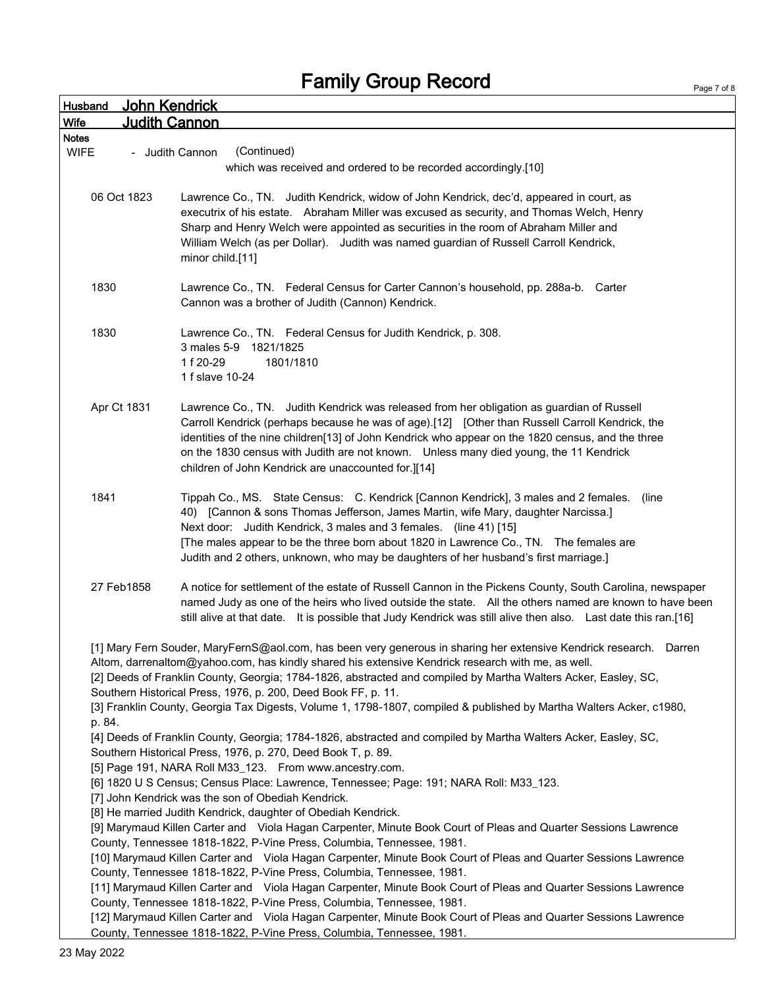| Page 7 of 8 |  |  |
|-------------|--|--|

| John Kendrick<br><b>Husband</b>                                                                                                                                                                                                                                                                                                                                                                                                                                                                                                             |                                                                                                                                                                                                                                                                                                                                                                                                                                                   |  |  |
|---------------------------------------------------------------------------------------------------------------------------------------------------------------------------------------------------------------------------------------------------------------------------------------------------------------------------------------------------------------------------------------------------------------------------------------------------------------------------------------------------------------------------------------------|---------------------------------------------------------------------------------------------------------------------------------------------------------------------------------------------------------------------------------------------------------------------------------------------------------------------------------------------------------------------------------------------------------------------------------------------------|--|--|
| Wife                                                                                                                                                                                                                                                                                                                                                                                                                                                                                                                                        | <b>Judith Cannon</b>                                                                                                                                                                                                                                                                                                                                                                                                                              |  |  |
| <b>Notes</b>                                                                                                                                                                                                                                                                                                                                                                                                                                                                                                                                |                                                                                                                                                                                                                                                                                                                                                                                                                                                   |  |  |
| <b>WIFE</b>                                                                                                                                                                                                                                                                                                                                                                                                                                                                                                                                 | (Continued)<br>- Judith Cannon                                                                                                                                                                                                                                                                                                                                                                                                                    |  |  |
|                                                                                                                                                                                                                                                                                                                                                                                                                                                                                                                                             | which was received and ordered to be recorded accordingly.[10]                                                                                                                                                                                                                                                                                                                                                                                    |  |  |
| 06 Oct 1823                                                                                                                                                                                                                                                                                                                                                                                                                                                                                                                                 | Lawrence Co., TN. Judith Kendrick, widow of John Kendrick, dec'd, appeared in court, as<br>executrix of his estate. Abraham Miller was excused as security, and Thomas Welch, Henry<br>Sharp and Henry Welch were appointed as securities in the room of Abraham Miller and<br>William Welch (as per Dollar). Judith was named guardian of Russell Carroll Kendrick,<br>minor child.[11]                                                          |  |  |
| 1830                                                                                                                                                                                                                                                                                                                                                                                                                                                                                                                                        | Lawrence Co., TN. Federal Census for Carter Cannon's household, pp. 288a-b. Carter<br>Cannon was a brother of Judith (Cannon) Kendrick.                                                                                                                                                                                                                                                                                                           |  |  |
| 1830                                                                                                                                                                                                                                                                                                                                                                                                                                                                                                                                        | Lawrence Co., TN. Federal Census for Judith Kendrick, p. 308.<br>3 males 5-9 1821/1825<br>1f 20-29<br>1801/1810<br>1 f slave 10-24                                                                                                                                                                                                                                                                                                                |  |  |
| Apr Ct 1831                                                                                                                                                                                                                                                                                                                                                                                                                                                                                                                                 | Lawrence Co., TN. Judith Kendrick was released from her obligation as guardian of Russell<br>Carroll Kendrick (perhaps because he was of age).[12] [Other than Russell Carroll Kendrick, the<br>identities of the nine children[13] of John Kendrick who appear on the 1820 census, and the three<br>on the 1830 census with Judith are not known. Unless many died young, the 11 Kendrick<br>children of John Kendrick are unaccounted for.][14] |  |  |
| 1841                                                                                                                                                                                                                                                                                                                                                                                                                                                                                                                                        | Tippah Co., MS. State Census: C. Kendrick [Cannon Kendrick], 3 males and 2 females.<br>(line<br>40) [Cannon & sons Thomas Jefferson, James Martin, wife Mary, daughter Narcissa.]<br>Next door: Judith Kendrick, 3 males and 3 females. (line 41) [15]<br>[The males appear to be the three born about 1820 in Lawrence Co., TN. The females are<br>Judith and 2 others, unknown, who may be daughters of her husband's first marriage.]          |  |  |
| 27 Feb1858                                                                                                                                                                                                                                                                                                                                                                                                                                                                                                                                  | A notice for settlement of the estate of Russell Cannon in the Pickens County, South Carolina, newspaper<br>named Judy as one of the heirs who lived outside the state. All the others named are known to have been<br>still alive at that date. It is possible that Judy Kendrick was still alive then also. Last date this ran.[16]                                                                                                             |  |  |
| [1] Mary Fern Souder, MaryFernS@aol.com, has been very generous in sharing her extensive Kendrick research. Darren<br>Altom, darrenaltom@yahoo.com, has kindly shared his extensive Kendrick research with me, as well.<br>[2] Deeds of Franklin County, Georgia; 1784-1826, abstracted and compiled by Martha Walters Acker, Easley, SC,<br>Southern Historical Press, 1976, p. 200, Deed Book FF, p. 11.<br>[3] Franklin County, Georgia Tax Digests, Volume 1, 1798-1807, compiled & published by Martha Walters Acker, c1980,<br>p. 84. |                                                                                                                                                                                                                                                                                                                                                                                                                                                   |  |  |
|                                                                                                                                                                                                                                                                                                                                                                                                                                                                                                                                             | [4] Deeds of Franklin County, Georgia; 1784-1826, abstracted and compiled by Martha Walters Acker, Easley, SC,<br>Southern Historical Press, 1976, p. 270, Deed Book T, p. 89.<br>[5] Page 191, NARA Roll M33_123. From www.ancestry.com.                                                                                                                                                                                                         |  |  |
|                                                                                                                                                                                                                                                                                                                                                                                                                                                                                                                                             | [6] 1820 U S Census; Census Place: Lawrence, Tennessee; Page: 191; NARA Roll: M33_123.<br>[7] John Kendrick was the son of Obediah Kendrick.<br>[8] He married Judith Kendrick, daughter of Obediah Kendrick.                                                                                                                                                                                                                                     |  |  |
|                                                                                                                                                                                                                                                                                                                                                                                                                                                                                                                                             | [9] Marymaud Killen Carter and Viola Hagan Carpenter, Minute Book Court of Pleas and Quarter Sessions Lawrence<br>County, Tennessee 1818-1822, P-Vine Press, Columbia, Tennessee, 1981.<br>[10] Marymaud Killen Carter and Viola Hagan Carpenter, Minute Book Court of Pleas and Quarter Sessions Lawrence                                                                                                                                        |  |  |
|                                                                                                                                                                                                                                                                                                                                                                                                                                                                                                                                             | County, Tennessee 1818-1822, P-Vine Press, Columbia, Tennessee, 1981.<br>[11] Marymaud Killen Carter and Viola Hagan Carpenter, Minute Book Court of Pleas and Quarter Sessions Lawrence<br>County, Tennessee 1818-1822, P-Vine Press, Columbia, Tennessee, 1981.                                                                                                                                                                                 |  |  |
|                                                                                                                                                                                                                                                                                                                                                                                                                                                                                                                                             | [12] Marymaud Killen Carter and Viola Hagan Carpenter, Minute Book Court of Pleas and Quarter Sessions Lawrence<br>County, Tennessee 1818-1822, P-Vine Press, Columbia, Tennessee, 1981.                                                                                                                                                                                                                                                          |  |  |